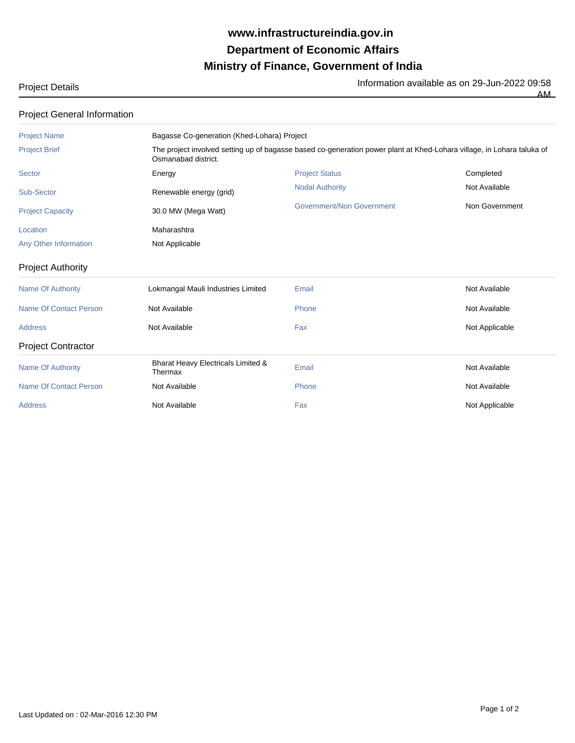## **Ministry of Finance, Government of India Department of Economic Affairs www.infrastructureindia.gov.in**

Project Details **Information available as on 29-Jun-2022** 09:58

AM

| <b>Project General Information</b> |                     |                                                                            |  |  |  |
|------------------------------------|---------------------|----------------------------------------------------------------------------|--|--|--|
| <b>Project Name</b>                |                     | Bagasse Co-generation (Khed-Lohara) Project                                |  |  |  |
| <b>Project Brief</b>               | Osmanabad district. | The project involved setting up of bagasse based co-generation power plant |  |  |  |
| Sector                             | Energy              | <b>Project Status</b>                                                      |  |  |  |

| <b>Project Name</b>           | Bagasse Co-generation (Khed-Lohara) Project                                                                                                   |                           |                |  |
|-------------------------------|-----------------------------------------------------------------------------------------------------------------------------------------------|---------------------------|----------------|--|
| <b>Project Brief</b>          | The project involved setting up of bagasse based co-generation power plant at Khed-Lohara village, in Lohara taluka of<br>Osmanabad district. |                           |                |  |
| Sector                        | Energy                                                                                                                                        | <b>Project Status</b>     | Completed      |  |
| Sub-Sector                    | Renewable energy (grid)                                                                                                                       | <b>Nodal Authority</b>    | Not Available  |  |
| <b>Project Capacity</b>       | 30.0 MW (Mega Watt)                                                                                                                           | Government/Non Government | Non Government |  |
| Location                      | Maharashtra                                                                                                                                   |                           |                |  |
| Any Other Information         | Not Applicable                                                                                                                                |                           |                |  |
| <b>Project Authority</b>      |                                                                                                                                               |                           |                |  |
| <b>Name Of Authority</b>      | Lokmangal Mauli Industries Limited                                                                                                            | Email                     | Not Available  |  |
| Name Of Contact Person        | Not Available                                                                                                                                 | Phone                     | Not Available  |  |
| <b>Address</b>                | Not Available                                                                                                                                 | Fax                       | Not Applicable |  |
| <b>Project Contractor</b>     |                                                                                                                                               |                           |                |  |
| <b>Name Of Authority</b>      | Bharat Heavy Electricals Limited &<br>Thermax                                                                                                 | Email                     | Not Available  |  |
| <b>Name Of Contact Person</b> | Not Available                                                                                                                                 | Phone                     | Not Available  |  |
| <b>Address</b>                | Not Available                                                                                                                                 | Fax                       | Not Applicable |  |